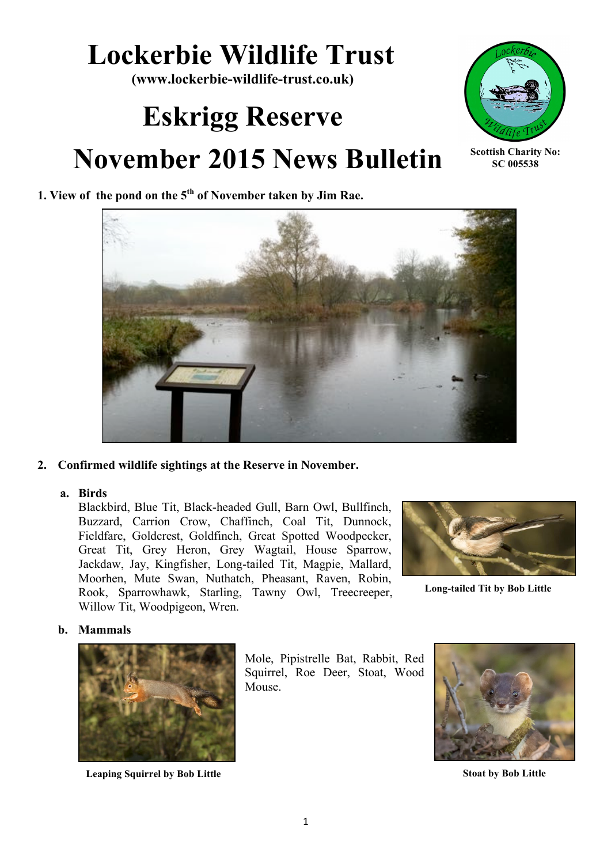## **Lockerbie Wildlife Trust**

**(www.lockerbie-wildlife-trust.co.uk)**

# **Eskrigg Reserve November 2015 News Bulletin**



**Scottish Charity No: SC 005538**

### **1. View of the pond on the 5th of November taken by Jim Rae.**



#### **2. Confirmed wildlife sightings at the Reserve in November.**

#### **a. Birds**

Blackbird, Blue Tit, Black-headed Gull, Barn Owl, Bullfinch, Buzzard, Carrion Crow, Chaffinch, Coal Tit, Dunnock, Fieldfare, Goldcrest, Goldfinch, Great Spotted Woodpecker, Great Tit, Grey Heron, Grey Wagtail, House Sparrow, Jackdaw, Jay, Kingfisher, Long-tailed Tit, Magpie, Mallard, Moorhen, Mute Swan, Nuthatch, Pheasant, Raven, Robin, Rook, Sparrowhawk, Starling, Tawny Owl, Treecreeper, Willow Tit, Woodpigeon, Wren.



**Long-tailed Tit by Bob Little**

#### **b. Mammals**



**Leaping Squirrel by Bob Little Stoat by Bob Little**

Mole, Pipistrelle Bat, Rabbit, Red Squirrel, Roe Deer, Stoat, Wood Mouse.

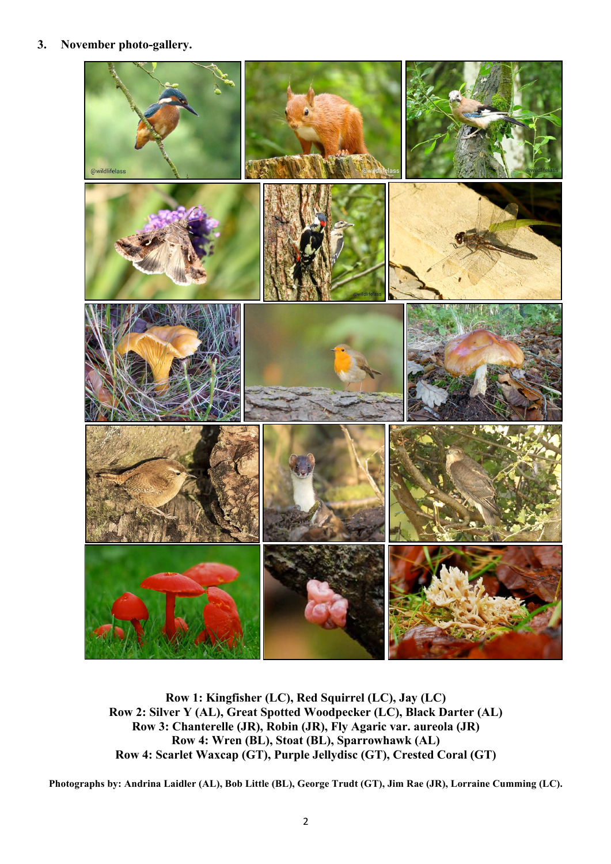#### **3. November photo-gallery.**



**Row 1: Kingfisher (LC), Red Squirrel (LC), Jay (LC) Row 2: Silver Y (AL), Great Spotted Woodpecker (LC), Black Darter (AL) Row 3: Chanterelle (JR), Robin (JR), Fly Agaric var. aureola (JR) Row 4: Wren (BL), Stoat (BL), Sparrowhawk (AL) Row 4: Scarlet Waxcap (GT), Purple Jellydisc (GT), Crested Coral (GT)**

**Photographs by: Andrina Laidler (AL), Bob Little (BL), George Trudt (GT), Jim Rae (JR), Lorraine Cumming (LC).**